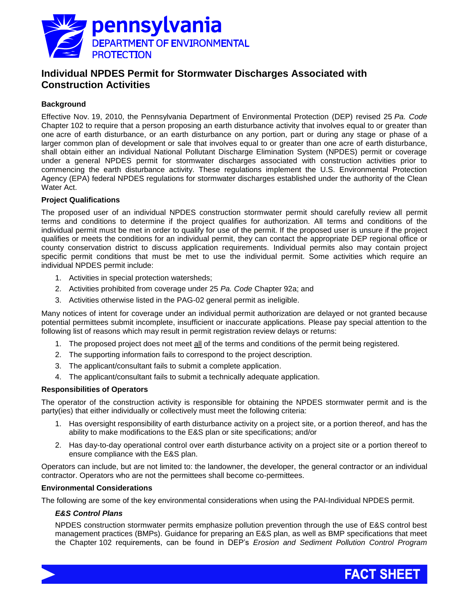

# **Individual NPDES Permit for Stormwater Discharges Associated with Construction Activities**

## **Background**

Effective Nov. 19, 2010, the Pennsylvania Department of Environmental Protection (DEP) revised 25 *Pa. Code* Chapter 102 to require that a person proposing an earth disturbance activity that involves equal to or greater than one acre of earth disturbance, or an earth disturbance on any portion, part or during any stage or phase of a larger common plan of development or sale that involves equal to or greater than one acre of earth disturbance, shall obtain either an individual National Pollutant Discharge Elimination System (NPDES) permit or coverage under a general NPDES permit for stormwater discharges associated with construction activities prior to commencing the earth disturbance activity. These regulations implement the U.S. Environmental Protection Agency (EPA) federal NPDES regulations for stormwater discharges established under the authority of the Clean Water Act.

## **Project Qualifications**

The proposed user of an individual NPDES construction stormwater permit should carefully review all permit terms and conditions to determine if the project qualifies for authorization. All terms and conditions of the individual permit must be met in order to qualify for use of the permit. If the proposed user is unsure if the project qualifies or meets the conditions for an individual permit, they can contact the appropriate DEP regional office or county conservation district to discuss application requirements. Individual permits also may contain project specific permit conditions that must be met to use the individual permit. Some activities which require an individual NPDES permit include:

- 1. Activities in special protection watersheds;
- 2. Activities prohibited from coverage under 25 *Pa. Code* Chapter 92a; and
- 3. Activities otherwise listed in the PAG-02 general permit as ineligible.

Many notices of intent for coverage under an individual permit authorization are delayed or not granted because potential permittees submit incomplete, insufficient or inaccurate applications. Please pay special attention to the following list of reasons which may result in permit registration review delays or returns:

- 1. The proposed project does not meet all of the terms and conditions of the permit being registered.
- 2. The supporting information fails to correspond to the project description.
- 3. The applicant/consultant fails to submit a complete application.
- 4. The applicant/consultant fails to submit a technically adequate application.

#### **Responsibilities of Operators**

The operator of the construction activity is responsible for obtaining the NPDES stormwater permit and is the party(ies) that either individually or collectively must meet the following criteria:

- 1. Has oversight responsibility of earth disturbance activity on a project site, or a portion thereof, and has the ability to make modifications to the E&S plan or site specifications; and/or
- 2. Has day-to-day operational control over earth disturbance activity on a project site or a portion thereof to ensure compliance with the E&S plan.

Operators can include, but are not limited to: the landowner, the developer, the general contractor or an individual contractor. Operators who are not the permittees shall become co-permittees.

#### **Environmental Considerations**

The following are some of the key environmental considerations when using the PAI-Individual NPDES permit.

## *E&S Control Plans*

NPDES construction stormwater permits emphasize pollution prevention through the use of E&S control best management practices (BMPs). Guidance for preparing an E&S plan, as well as BMP specifications that meet the Chapter 102 requirements, can be found in DEP's *Erosion and Sediment Pollution Control Program*